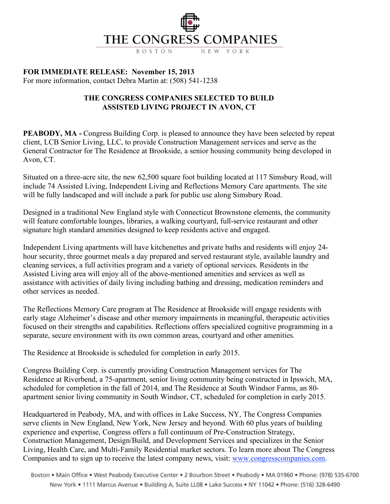## THE CONGRESS COMPANIES

NEW YORK BOSTON

**FOR IMMEDIATE RELEASE: November 15, 2013**

For more information, contact Debra Martin at: (508) 541-1238

## **THE CONGRESS COMPANIES SELECTED TO BUILD ASSISTED LIVING PROJECT IN AVON, CT**

**PEABODY, MA** - Congress Building Corp. is pleased to announce they have been selected by repeat client, LCB Senior Living, LLC, to provide Construction Management services and serve as the General Contractor for The Residence at Brookside, a senior housing community being developed in Avon, CT.

Situated on a three-acre site, the new 62,500 square foot building located at 117 Simsbury Road, will include 74 Assisted Living, Independent Living and Reflections Memory Care apartments. The site will be fully landscaped and will include a park for public use along Simsbury Road.

Designed in a traditional New England style with Connecticut Brownstone elements, the community will feature comfortable lounges, libraries, a walking courtyard, full-service restaurant and other signature high standard amenities designed to keep residents active and engaged.

Independent Living apartments will have kitchenettes and private baths and residents will enjoy 24 hour security, three gourmet meals a day prepared and served restaurant style, available laundry and cleaning services, a full activities program and a variety of optional services. Residents in the Assisted Living area will enjoy all of the above-mentioned amenities and services as well as assistance with activities of daily living including bathing and dressing, medication reminders and other services as needed.

The Reflections Memory Care program at The Residence at Brookside will engage residents with early stage Alzheimer's disease and other memory impairments in meaningful, therapeutic activities focused on their strengths and capabilities. Reflections offers specialized cognitive programming in a separate, secure environment with its own common areas, courtyard and other amenities.

The Residence at Brookside is scheduled for completion in early 2015.

Congress Building Corp. is currently providing Construction Management services for The Residence at Riverbend, a 75-apartment, senior living community being constructed in Ipswich, MA, scheduled for completion in the fall of 2014, and The Residence at South Windsor Farms, an 80 apartment senior living community in South Windsor, CT, scheduled for completion in early 2015.

Headquartered in Peabody, MA, and with offices in Lake Success, NY, The Congress Companies serve clients in New England, New York, New Jersey and beyond. With 60 plus years of building experience and expertise, Congress offers a full continuum of Pre-Construction Strategy, Construction Management, Design/Build, and Development Services and specializes in the Senior Living, Health Care, and Multi-Family Residential market sectors. To learn more about The Congress Companies and to sign up to receive the latest company news, visit: www.congresscompanies.com.